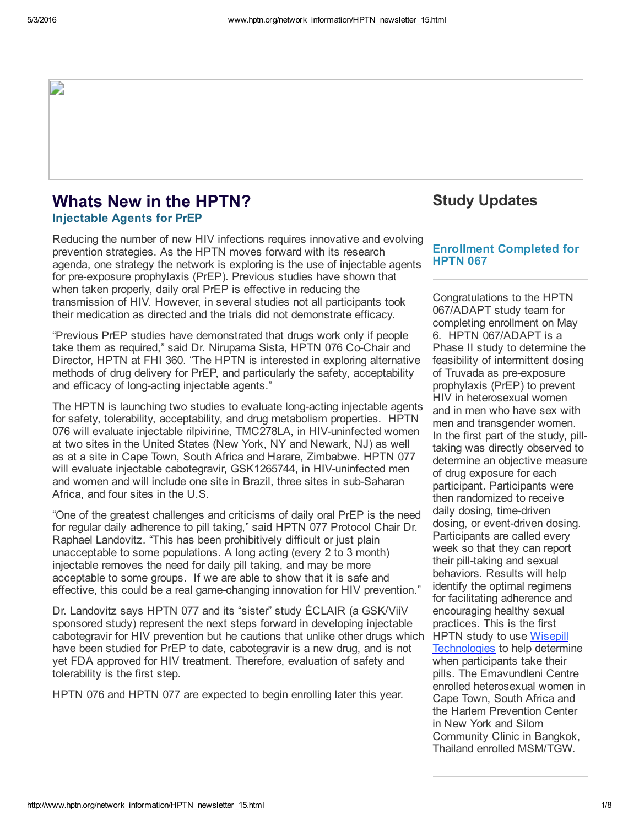### Whats New in the HPTN? Injectable Agents for PrEP

Reducing the number of new HIV infections requires innovative and evolving prevention strategies. As the HPTN moves forward with its research agenda, one strategy the network is exploring is the use of injectable agents for pre-exposure prophylaxis (PrEP). Previous studies have shown that when taken properly, daily oral PrEP is effective in reducing the transmission of HIV. However, in several studies not all participants took their medication as directed and the trials did not demonstrate efficacy.

"Previous PrEP studies have demonstrated that drugs work only if people take them as required," said Dr. Nirupama Sista, HPTN 076 CoChair and Director, HPTN at FHI 360. "The HPTN is interested in exploring alternative methods of drug delivery for PrEP, and particularly the safety, acceptability and efficacy of long-acting injectable agents."

The HPTN is launching two studies to evaluate long-acting injectable agents for safety, tolerability, acceptability, and drug metabolism properties. HPTN 076 will evaluate injectable rilpivirine, TMC278LA, in HIV-uninfected women at two sites in the United States (New York, NY and Newark, NJ) as well as at a site in Cape Town, South Africa and Harare, Zimbabwe. HPTN 077 will evaluate injectable cabotegravir, GSK1265744, in HIV-uninfected men and women and will include one site in Brazil, three sites in sub-Saharan Africa, and four sites in the U.S.

"One of the greatest challenges and criticisms of daily oral PrEP is the need for regular daily adherence to pill taking," said HPTN 077 Protocol Chair Dr. Raphael Landovitz. "This has been prohibitively difficult or just plain unacceptable to some populations. A long acting (every 2 to 3 month) injectable removes the need for daily pill taking, and may be more acceptable to some groups. If we are able to show that it is safe and effective, this could be a real game-changing innovation for HIV prevention."

Dr. Landovitz says HPTN 077 and its "sister" study ÉCLAIR (a GSK/ViiV sponsored study) represent the next steps forward in developing injectable cabotegravir for HIV prevention but he cautions that unlike other drugs which have been studied for PrEP to date, cabotegravir is a new drug, and is not yet FDA approved for HIV treatment. Therefore, evaluation of safety and tolerability is the first step.

HPTN 076 and HPTN 077 are expected to begin enrolling later this year.

## Study Updates

#### Enrollment Completed for HPTN 067

Congratulations to the HPTN 067/ADAPT study team for completing enrollment on May 6. HPTN 067/ADAPT is a Phase II study to determine the feasibility of intermittent dosing of Truvada as pre-exposure prophylaxis (PrEP) to prevent HIV in heterosexual women and in men who have sex with men and transgender women. In the first part of the study, pilltaking was directly observed to determine an objective measure of drug exposure for each participant. Participants were then randomized to receive daily dosing, time-driven dosing, or event-driven dosing. Participants are called every week so that they can report their pill-taking and sexual behaviors. Results will help identify the optimal regimens for facilitating adherence and encouraging healthy sexual practices. This is the first HPTN study to use Wisepill [Technologies](https://t.e2ma.net/click/k276e/csiyof/80arzc) to help determine when participants take their pills. The Emavundleni Centre enrolled heterosexual women in Cape Town, South Africa and the Harlem Prevention Center in New York and Silom Community Clinic in Bangkok, Thailand enrolled MSM/TGW.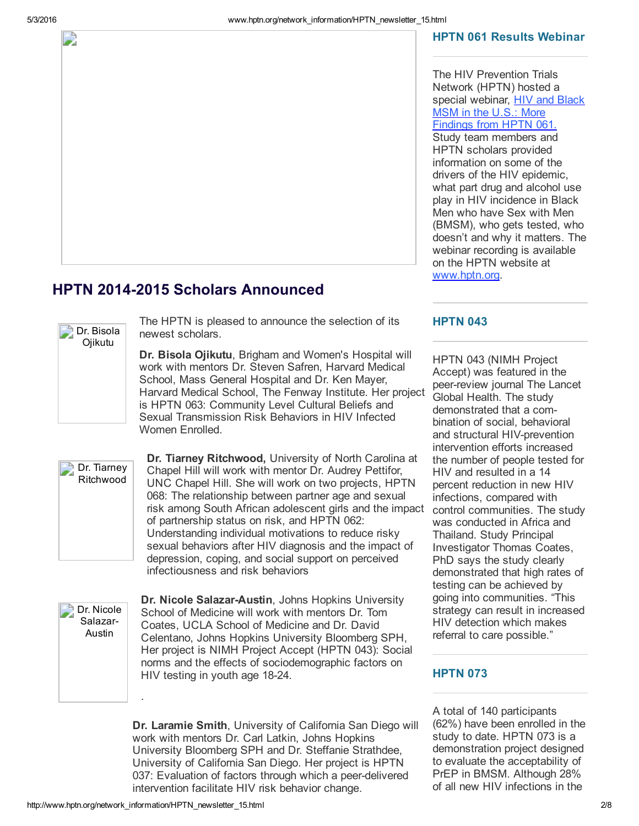#### HPTN 061 Results Webinar

The HIV Prevention Trials Network (HPTN) hosted a special webinar, **HIV and Black** MSM in the U.S.: More [Findings](https://t.e2ma.net/click/k276e/csiyof/otbrzc) from HPTN 061. Study team members and HPTN scholars provided information on some of the drivers of the HIV epidemic, what part drug and alcohol use play in HIV incidence in Black Men who have Sex with Men (BMSM), who gets tested, who doesn't and why it matters. The

webinar recording is available on the HPTN website at

# **HPTN 2014-2015 Scholars Announced**



The HPTN is pleased to announce the selection of its newest scholars.

Dr. Bisola Ojikutu, Brigham and Women's Hospital will work with mentors Dr. Steven Safren, Harvard Medical School, Mass General Hospital and Dr. Ken Mayer, Harvard Medical School, The Fenway Institute. Her project is HPTN 063: Community Level Cultural Beliefs and Sexual Transmission Risk Behaviors in HIV Infected Women **Enrolled** 



Dr. Tiarney Ritchwood, University of North Carolina at Chapel Hill will work with mentor Dr. Audrey Pettifor, UNC Chapel Hill. She will work on two projects, HPTN 068: The relationship between partner age and sexual risk among South African adolescent girls and the impact of partnership status on risk, and HPTN 062: Understanding individual motivations to reduce risky sexual behaviors after HIV diagnosis and the impact of depression, coping, and social support on perceived infectiousness and risk behaviors



Dr. Nicole Salazar-Austin, Johns Hopkins University School of Medicine will work with mentors Dr. Tom Coates, UCLA School of Medicine and Dr. David Celentano, Johns Hopkins University Bloomberg SPH, Her project is NIMH Project Accept (HPTN 043): Social norms and the effects of sociodemographic factors on HIV testing in youth age 18-24.

Dr. Laramie Smith, University of California San Diego will work with mentors Dr. Carl Latkin, Johns Hopkins University Bloomberg SPH and Dr. Steffanie Strathdee, University of California San Diego. Her project is HPTN 037: Evaluation of factors through which a peer-delivered intervention facilitate HIV risk behavior change.

#### **HPTN 043**

[www.hptn.org.](https://t.e2ma.net/click/k276e/csiyof/4lcrzc)

HPTN 043 (NIMH Project Accept) was featured in the peer-review journal The Lancet Global Health. The study demonstrated that a combination of social, behavioral and structural HIV-prevention intervention efforts increased the number of people tested for HIV and resulted in a 14 percent reduction in new HIV infections, compared with control communities. The study was conducted in Africa and Thailand. Study Principal Investigator Thomas Coates, PhD says the study clearly demonstrated that high rates of testing can be achieved by going into communities. "This strategy can result in increased HIV detection which makes referral to care possible."

#### **HPTN 073**

A total of 140 participants (62%) have been enrolled in the study to date. HPTN 073 is a demonstration project designed to evaluate the acceptability of PrEP in BMSM. Although 28% of all new HIV infections in the

.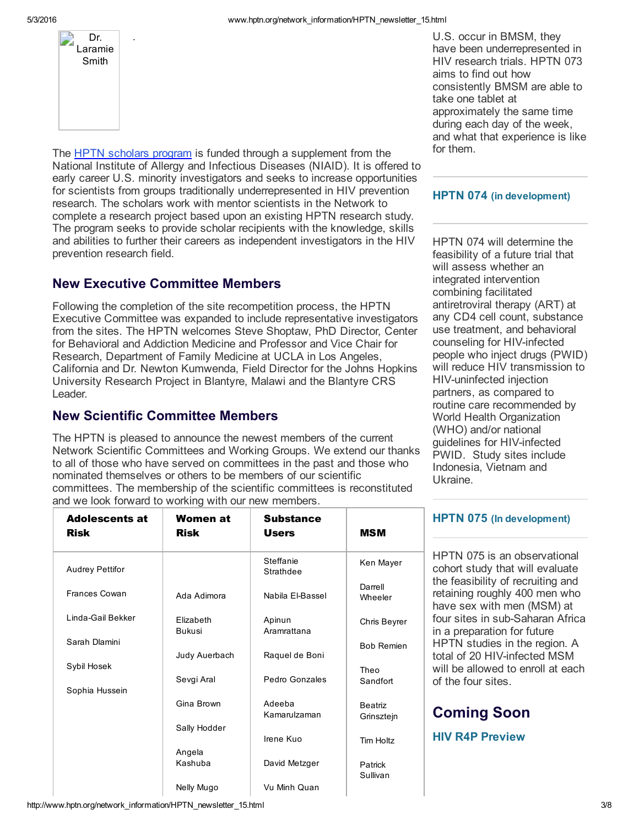

.

The HPTN [scholars](https://t.e2ma.net/click/k276e/csiyof/s89qzc) program is funded through a supplement from the National Institute of Allergy and Infectious Diseases (NIAID). It is offered to early career U.S. minority investigators and seeks to increase opportunities for scientists from groups traditionally underrepresented in HIV prevention research. The scholars work with mentor scientists in the Network to complete a research project based upon an existing HPTN research study. The program seeks to provide scholar recipients with the knowledge, skills and abilities to further their careers as independent investigators in the HIV prevention research field.

# New Executive Committee Members

Following the completion of the site recompetition process, the HPTN Executive Committee was expanded to include representative investigators from the sites. The HPTN welcomes Steve Shoptaw, PhD Director, Center for Behavioral and Addiction Medicine and Professor and Vice Chair for Research, Department of Family Medicine at UCLA in Los Angeles, California and Dr. Newton Kumwenda, Field Director for the Johns Hopkins University Research Project in Blantyre, Malawi and the Blantyre CRS Leader.

### New Scientific Committee Members

The HPTN is pleased to announce the newest members of the current Network Scientific Committees and Working Groups. We extend our thanks to all of those who have served on committees in the past and those who nominated themselves or others to be members of our scientific committees. The membership of the scientific committees is reconstituted and we look forward to working with our new members.

U.S. occur in BMSM, they have been underrepresented in HIV research trials. HPTN 073 aims to find out how consistently BMSM are able to take one tablet at approximately the same time during each day of the week, and what that experience is like for them.

#### HPTN 074 (in development)

HPTN 074 will determine the feasibility of a future trial that will assess whether an integrated intervention combining facilitated antiretroviral therapy (ART) at any CD4 cell count, substance use treatment, and behavioral counseling for HIV-infected people who inject drugs (PWID) will reduce HIV transmission to HIV-uninfected injection partners, as compared to routine care recommended by World Health Organization (WHO) and/or national guidelines for HIV-infected PWID. Study sites include Indonesia, Vietnam and Ukraine.

| <b>Adolescents at</b><br>Risk | Women at<br>Risk           | <b>Substance</b><br><b>Users</b> | MSM                          |
|-------------------------------|----------------------------|----------------------------------|------------------------------|
| Audrey Pettifor               |                            | Steffanie<br>Strathdee           | Ken Mayer                    |
| <b>Frances Cowan</b>          | Ada Adimora                | Nabila El-Bassel                 | Darrell<br>Wheeler           |
| Linda-Gail Bekker             | Elizabeth<br><b>Bukusi</b> | Apinun<br>Aramrattana            | Chris Beyrer                 |
| Sarah Dlamini                 | Judy Auerbach              | Raquel de Boni                   | <b>Bob Remien</b>            |
| Sybil Hosek                   | Sevgi Aral                 | Pedro Gonzales                   | Theo<br>Sandfort             |
| Sophia Hussein                | Gina Brown                 | Adeeba<br>Kamarulzaman           | <b>Beatriz</b><br>Grinsztejn |
|                               | Sally Hodder               | Irene Kuo                        | Tim Holtz                    |
|                               | Angela<br>Kashuba          | David Metzger                    | Patrick<br>Sullivan          |
|                               | Nelly Mugo                 | Vu Minh Quan                     |                              |

#### HPTN 075 (In development)

HPTN 075 is an observational cohort study that will evaluate the feasibility of recruiting and retaining roughly 400 men who have sex with men (MSM) at four sites in sub-Saharan Africa in a preparation for future HPTN studies in the region. A total of 20 HIV-infected MSM will be allowed to enroll at each of the four sites.

# Coming Soon

HIV R4P Preview

http://www.hptn.org/network\_information/HPTN\_newsletter\_15.html 3.18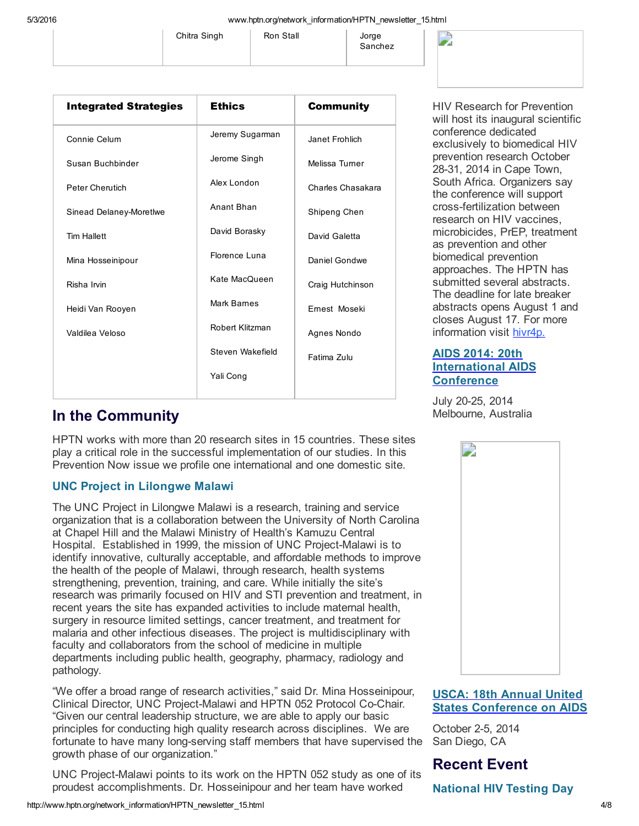Sanchez

| Chitra Singh | Ron Stall | Jorge    |
|--------------|-----------|----------|
|              |           | $C$ onok |



| <b>Integrated Strategies</b> | <b>Ethics</b>    | <b>Community</b>  |
|------------------------------|------------------|-------------------|
| Connie Celum                 | Jeremy Sugarman  | Janet Frohlich    |
| Susan Buchbinder             | Jerome Singh     | Melissa Turner    |
| <b>Peter Cherutich</b>       | Alex London      | Charles Chasakara |
| Sinead Delaney-Moretlwe      | Anant Bhan       | Shipeng Chen      |
| <b>Tim Hallett</b>           | David Borasky    | David Galetta     |
| Mina Hosseinipour            | Florence Luna    | Daniel Gondwe     |
| Risha Irvin                  | Kate MacQueen    | Craig Hutchinson  |
| Heidi Van Rooyen             | Mark Barnes      | Ernest Moseki     |
| Valdilea Veloso              | Robert Klitzman  | Agnes Nondo       |
|                              | Steven Wakefield | Fatima Zulu       |
|                              | Yali Cong        |                   |

HIV Research for Prevention will host its inaugural scientific conference dedicated exclusively to biomedical HIV prevention research October 28-31, 2014 in Cape Town, South Africa. Organizers say the conference will support cross-fertilization between research on HIV vaccines, microbicides, PrEP, treatment as prevention and other biomedical prevention approaches. The HPTN has submitted several abstracts. The deadline for late breaker abstracts opens August 1 and closes August 17. For more information visit [hivr4p.](https://t.e2ma.net/click/k276e/csiyof/kedrzc)

### AIDS 2014: 20th [International](https://t.e2ma.net/click/k276e/csiyof/06drzc) AIDS **Conference**

July 2025, 2014 Melbourne, Australia

# In the Community

HPTN works with more than 20 research sites in 15 countries. These sites play a critical role in the successful implementation of our studies. In this Prevention Now issue we profile one international and one domestic site.

### UNC Project in Lilongwe Malawi

The UNC Project in Lilongwe Malawi is a research, training and service organization that is a collaboration between the University of North Carolina at Chapel Hill and the Malawi Ministry of Health's Kamuzu Central Hospital. Established in 1999, the mission of UNC Project-Malawi is to identify innovative, culturally acceptable, and affordable methods to improve the health of the people of Malawi, through research, health systems strengthening, prevention, training, and care. While initially the site's research was primarily focused on HIV and STI prevention and treatment, in recent years the site has expanded activities to include maternal health, surgery in resource limited settings, cancer treatment, and treatment for malaria and other infectious diseases. The project is multidisciplinary with faculty and collaborators from the school of medicine in multiple departments including public health, geography, pharmacy, radiology and pathology.

"We offer a broad range of research activities," said Dr. Mina Hosseinipour, Clinical Director, UNC Project-Malawi and HPTN 052 Protocol Co-Chair. "Given our central leadership structure, we are able to apply our basic principles for conducting high quality research across disciplines. We are fortunate to have many long-serving staff members that have supervised the growth phase of our organization."

UNC Project-Malawi points to its work on the HPTN 052 study as one of its proudest accomplishments. Dr. Hosseinipour and her team have worked



### USCA: 18th Annual United States [Conference](https://t.e2ma.net/click/k276e/csiyof/wrfrzc) on AIDS

October 2-5, 2014 San Diego, CA

# Recent Event

National HIV Testing Day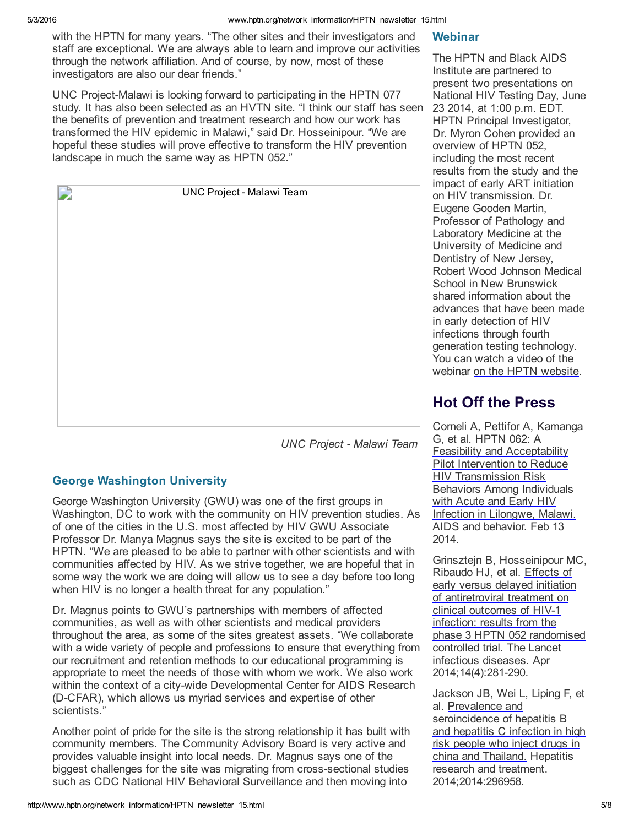with the HPTN for many years. "The other sites and their investigators and staff are exceptional. We are always able to learn and improve our activities through the network affiliation. And of course, by now, most of these investigators are also our dear friends."

UNC Project-Malawi is looking forward to participating in the HPTN 077 study. It has also been selected as an HVTN site. "I think our staff has seen the benefits of prevention and treatment research and how our work has transformed the HIV epidemic in Malawi," said Dr. Hosseinipour. "We are hopeful these studies will prove effective to transform the HIV prevention landscape in much the same way as HPTN 052."

| <b>UNC Project - Malawi Team</b> |
|----------------------------------|
|                                  |
|                                  |
|                                  |
|                                  |
|                                  |
|                                  |
|                                  |
|                                  |
|                                  |
|                                  |
|                                  |
| $\cdots$<br>$\cdot$ $\,-$        |

*UNC Project Malawi Team*

### George Washington University

George Washington University (GWU) was one of the first groups in Washington, DC to work with the community on HIV prevention studies. As of one of the cities in the U.S. most affected by HIV GWU Associate Professor Dr. Manya Magnus says the site is excited to be part of the HPTN. "We are pleased to be able to partner with other scientists and with communities affected by HIV. As we strive together, we are hopeful that in some way the work we are doing will allow us to see a day before too long when HIV is no longer a health threat for any population."

Dr. Magnus points to GWU's partnerships with members of affected communities, as well as with other scientists and medical providers throughout the area, as some of the sites greatest assets. "We collaborate with a wide variety of people and professions to ensure that everything from our recruitment and retention methods to our educational programming is appropriate to meet the needs of those with whom we work. We also work within the context of a city-wide Developmental Center for AIDS Research (D-CFAR), which allows us myriad services and expertise of other scientists."

Another point of pride for the site is the strong relationship it has built with community members. The Community Advisory Board is very active and provides valuable insight into local needs. Dr. Magnus says one of the biggest challenges for the site was migrating from cross-sectional studies such as CDC National HIV Behavioral Surveillance and then moving into

### Webinar

The HPTN and Black AIDS Institute are partnered to present two presentations on National HIV Testing Day, June 23 2014, at 1:00 p.m. EDT. HPTN Principal Investigator, Dr. Myron Cohen provided an overview of HPTN 052, including the most recent results from the study and the impact of early ART initiation on HIV transmission. Dr. Eugene Gooden Martin, Professor of Pathology and Laboratory Medicine at the University of Medicine and Dentistry of New Jersey, Robert Wood Johnson Medical School in New Brunswick shared information about the advances that have been made in early detection of HIV infections through fourth generation testing technology. You can watch a video of the webinar on the HPTN [website.](https://t.e2ma.net/click/k276e/csiyof/ckgrzc)

# Hot Off the Press

Corneli A, Pettifor A, Kamanga G, et al. HPTN 062: A Feasibility and Acceptability Pilot Intervention to Reduce HIV [Transmission](https://t.e2ma.net/click/k276e/csiyof/schrzc) Risk Behaviors Among Individuals with Acute and Early HIV Infection in Lilongwe, Malawi. AIDS and behavior. Feb 13 2014.

Grinsztejn B, Hosseinipour MC, Ribaudo HJ, et al. Effects of early versus delayed initiation of [antiretroviral](https://t.e2ma.net/click/k276e/csiyof/84hrzc) treatment on clinical outcomes of HIV-1 infection: results from the phase 3 HPTN 052 randomised controlled trial. The Lancet infectious diseases. Apr 2014;14(4):281-290.

Jackson JB, Wei L, Liping F, et al. Prevalence and [seroincidence](https://t.e2ma.net/click/k276e/csiyof/oxirzc) of hepatitis B and hepatitis C infection in high risk people who inject drugs in china and Thailand. Hepatitis research and treatment. 2014;2014:296958.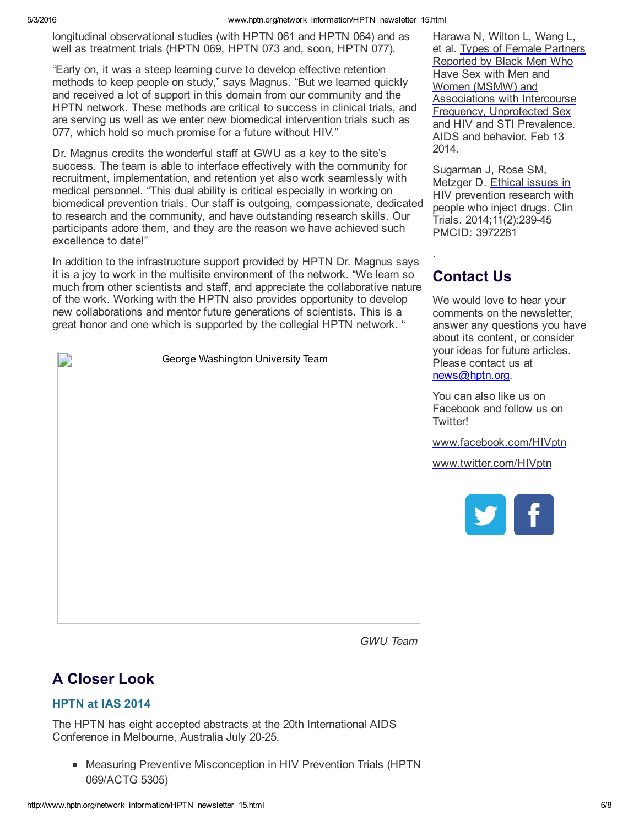#### 5/3/2016 www.hptn.org/network\_information/HPTN\_newsletter\_15.html

longitudinal observational studies (with HPTN 061 and HPTN 064) and as well as treatment trials (HPTN 069, HPTN 073 and, soon, HPTN 077).

"Early on, it was a steep learning curve to develop effective retention methods to keep people on study," says Magnus. "But we learned quickly and received a lot of support in this domain from our community and the HPTN network. These methods are critical to success in clinical trials, and are serving us well as we enter new biomedical intervention trials such as 077, which hold so much promise for a future without HIV."

Dr. Magnus credits the wonderful staff at GWU as a key to the site's success. The team is able to interface effectively with the community for recruitment, implementation, and retention yet also work seamlessly with medical personnel. "This dual ability is critical especially in working on biomedical prevention trials. Our staff is outgoing, compassionate, dedicated to research and the community, and have outstanding research skills. Our participants adore them, and they are the reason we have achieved such excellence to date!"

In addition to the infrastructure support provided by HPTN Dr. Magnus says it is a joy to work in the multisite environment of the network. "We learn so much from other scientists and staff, and appreciate the collaborative nature of the work. Working with the HPTN also provides opportunity to develop new collaborations and mentor future generations of scientists. This is a great honor and one which is supported by the collegial HPTN network. "

2 George Washington University Team Harawa N, Wilton L, Wang L, et al. Types of Female Partners Reported by Black Men Who Have Sex with Men and Women (MSMW) and **[Associations](https://t.e2ma.net/click/k276e/csiyof/4pjrzc) with Intercourse** Frequency, Unprotected Sex and HIV and STI Prevalence. AIDS and behavior. Feb 13 2014.

Sugarman J, Rose SM, Metzger D. Ethical issues in HIV [prevention](https://t.e2ma.net/click/k276e/csiyof/kikrzc) research with people who inject drugs. Clin Trials. 2014;11(2):23945 PMCID: 3972281

# Contact Us

.

We would love to hear your comments on the newsletter, answer any questions you have about its content, or consider your ideas for future articles. Please contact us at [news@hptn.org.](mailto:news@hptn.org)

You can also like us on Facebook and follow us on Twitter!

[www.facebook.com/HIVptn](https://t.e2ma.net/click/k276e/csiyof/0alrzc)

[www.twitter.com/HIVptn](https://t.e2ma.net/click/k276e/csiyof/g3lrzc)



*GWU Team*

# A Closer Look

### HPTN at IAS 2014

The HPTN has eight accepted abstracts at the 20th International AIDS Conference in Melbourne, Australia July 20-25.

Measuring Preventive Misconception in HIV Prevention Trials (HPTN 069/ACTG 5305)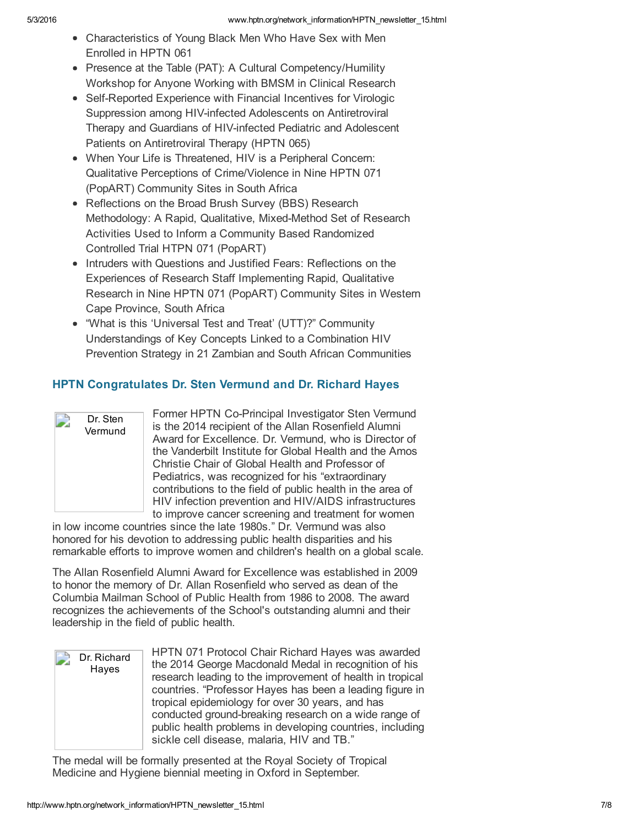- Characteristics of Young Black Men Who Have Sex with Men Enrolled in HPTN 061
- Presence at the Table (PAT): A Cultural Competency/Humility Workshop for Anyone Working with BMSM in Clinical Research
- Self-Reported Experience with Financial Incentives for Virologic Suppression among HIV-infected Adolescents on Antiretroviral Therapy and Guardians of HIV-infected Pediatric and Adolescent Patients on Antiretroviral Therapy (HPTN 065)
- When Your Life is Threatened, HIV is a Peripheral Concern: Qualitative Perceptions of Crime/Violence in Nine HPTN 071 (PopART) Community Sites in South Africa
- Reflections on the Broad Brush Survey (BBS) Research Methodology: A Rapid, Qualitative, Mixed-Method Set of Research Activities Used to Inform a Community Based Randomized Controlled Trial HTPN 071 (PopART)
- Intruders with Questions and Justified Fears: Reflections on the Experiences of Research Staff Implementing Rapid, Qualitative Research in Nine HPTN 071 (PopART) Community Sites in Western Cape Province, South Africa
- "What is this 'Universal Test and Treat' (UTT)?" Community Understandings of Key Concepts Linked to a Combination HIV Prevention Strategy in 21 Zambian and South African Communities

### HPTN Congratulates Dr. Sten Vermund and Dr. Richard Hayes



Former HPTN Co-Principal Investigator Sten Vermund is the 2014 recipient of the Allan Rosenfield Alumni Award for Excellence. Dr. Vermund, who is Director of the Vanderbilt Institute for Global Health and the Amos Christie Chair of Global Health and Professor of Pediatrics, was recognized for his "extraordinary contributions to the field of public health in the area of HIV infection prevention and HIV/AIDS infrastructures to improve cancer screening and treatment for women

in low income countries since the late 1980s." Dr. Vermund was also honored for his devotion to addressing public health disparities and his remarkable efforts to improve women and children's health on a global scale.

The Allan Rosenfield Alumni Award for Excellence was established in 2009 to honor the memory of Dr. Allan Rosenfield who served as dean of the Columbia Mailman School of Public Health from 1986 to 2008. The award recognizes the achievements of the School's outstanding alumni and their leadership in the field of public health.



The medal will be formally presented at the Royal Society of Tropical Medicine and Hygiene biennial meeting in Oxford in September.